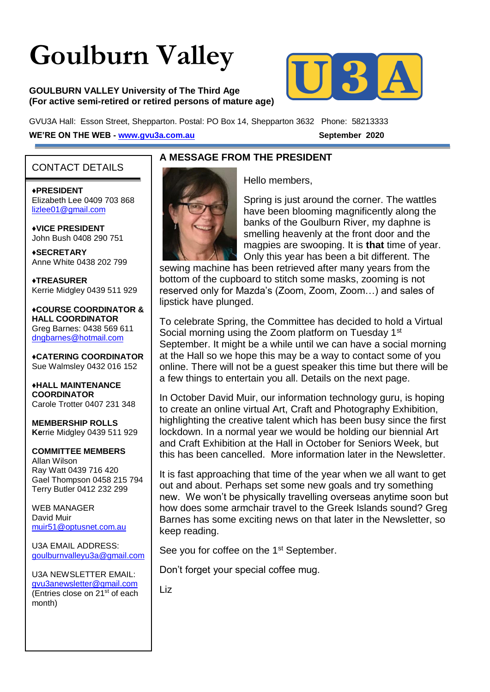# **Goulburn Valley**

#### **GOULBURN VALLEY University of The Third Age (For active semi-retired or retired persons of mature age)**



GVU3A Hall: Esson Street, Shepparton. Postal: PO Box 14, Shepparton 3632 Phone: 58213333 **WE'RE ON THE WEB - [www.gvu3a.com.au](about:blank)** September 2020

#### CONTACT DETAILS

♦**PRESIDENT** Elizabeth Lee 0409 703 868 [lizlee01@gmail.com](about:blank)

♦**VICE PRESIDENT** John Bush 0408 290 751

**♦SECRETARY** Anne White 0438 202 799

**♦TREASURER** Kerrie Midgley 0439 511 929

♦**COURSE COORDINATOR & HALL COORDINATOR** Greg Barnes: 0438 569 611 [dngbarnes@hotmail.com](about:blank)

♦**CATERING COORDINATOR** Sue Walmsley 0432 016 152

♦**HALL MAINTENANCE COORDINATOR** Carole Trotter 0407 231 348

**MEMBERSHIP ROLLS Ke**rrie Midgley 0439 511 929

#### **COMMITTEE MEMBERS**

Allan Wilson Ray Watt 0439 716 420 Gael Thompson 0458 215 794 Terry Butler 0412 232 299

WEB MANAGER David Muir [muir51@optusnet.com.au](about:blank)

U3A EMAIL ADDRESS: [goulburnvalleyu3a@gmail.com](about:blank)

U3A NEWSLETTER EMAIL: [gvu3anewsletter@gmail.com](about:blank) (Entries close on  $21^{st}$  of each month)

#### **A MESSAGE FROM THE PRESIDENT**



Hello members,

Spring is just around the corner. The wattles have been blooming magnificently along the banks of the Goulburn River, my daphne is smelling heavenly at the front door and the magpies are swooping. It is **that** time of year. Only this year has been a bit different. The

sewing machine has been retrieved after many years from the bottom of the cupboard to stitch some masks, zooming is not reserved only for Mazda's (Zoom, Zoom, Zoom…) and sales of lipstick have plunged.

To celebrate Spring, the Committee has decided to hold a Virtual Social morning using the Zoom platform on Tuesday 1<sup>st</sup> September. It might be a while until we can have a social morning at the Hall so we hope this may be a way to contact some of you online. There will not be a guest speaker this time but there will be a few things to entertain you all. Details on the next page.

In October David Muir, our information technology guru, is hoping to create an online virtual Art, Craft and Photography Exhibition, highlighting the creative talent which has been busy since the first lockdown. In a normal year we would be holding our biennial Art and Craft Exhibition at the Hall in October for Seniors Week, but this has been cancelled. More information later in the Newsletter.

It is fast approaching that time of the year when we all want to get out and about. Perhaps set some new goals and try something new. We won't be physically travelling overseas anytime soon but how does some armchair travel to the Greek Islands sound? Greg Barnes has some exciting news on that later in the Newsletter, so keep reading.

See you for coffee on the 1<sup>st</sup> September.

Don't forget your special coffee mug.

Liz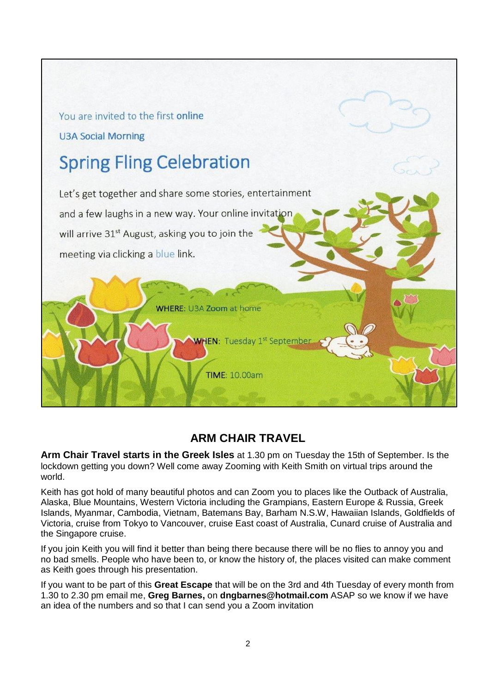

## **ARM CHAIR TRAVEL**

**Arm Chair Travel starts in the Greek Isles** at 1.30 pm on Tuesday the 15th of September. Is the lockdown getting you down? Well come away Zooming with Keith Smith on virtual trips around the world.

Keith has got hold of many beautiful photos and can Zoom you to places like the Outback of Australia, Alaska, Blue Mountains, Western Victoria including the Grampians, Eastern Europe & Russia, Greek Islands, Myanmar, Cambodia, Vietnam, Batemans Bay, Barham N.S.W, Hawaiian Islands, Goldfields of Victoria, cruise from Tokyo to Vancouver, cruise East coast of Australia, Cunard cruise of Australia and the Singapore cruise.

If you join Keith you will find it better than being there because there will be no flies to annoy you and no bad smells. People who have been to, or know the history of, the places visited can make comment as Keith goes through his presentation.

If you want to be part of this **Great Escape** that will be on the 3rd and 4th Tuesday of every month from 1.30 to 2.30 pm email me, **Greg Barnes,** on **dngbarnes@hotmail.com** ASAP so we know if we have an idea of the numbers and so that I can send you a Zoom invitation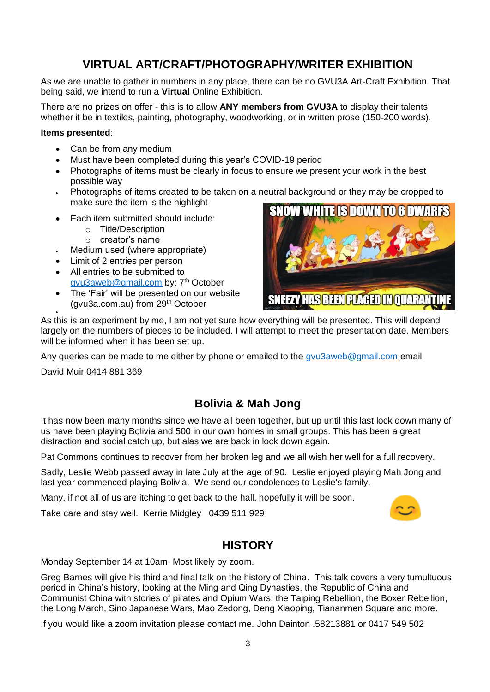## **VIRTUAL ART/CRAFT/PHOTOGRAPHY/WRITER EXHIBITION**

As we are unable to gather in numbers in any place, there can be no GVU3A Art-Craft Exhibition. That being said, we intend to run a **Virtual** Online Exhibition.

There are no prizes on offer - this is to allow **ANY members from GVU3A** to display their talents whether it be in textiles, painting, photography, woodworking, or in written prose (150-200 words).

#### **Items presented**:

- Can be from any medium
- Must have been completed during this year's COVID-19 period
- Photographs of items must be clearly in focus to ensure we present your work in the best possible way
- Photographs of items created to be taken on a neutral background or they may be cropped to make sure the item is the highlight
- Each item submitted should include:
	- o Title/Description
	- o creator's name
- Medium used (where appropriate)
- Limit of 2 entries per person
- All entries to be submitted to [gvu3aweb@gmail.com](mailto:gvu3aweb@gmail.com) by: 7<sup>th</sup> October
- The 'Fair' will be presented on our website (gvu3a.com.au) from 29th October



 $\bullet$ As this is an experiment by me, I am not yet sure how everything will be presented. This will depend largely on the numbers of pieces to be included. I will attempt to meet the presentation date. Members will be informed when it has been set up.

Any queries can be made to me either by phone or emailed to the [gvu3aweb@gmail.com](mailto:gvu3aweb@gmail.com) email.

David Muir 0414 881 369

## **Bolivia & Mah Jong**

It has now been many months since we have all been together, but up until this last lock down many of us have been playing Bolivia and 500 in our own homes in small groups. This has been a great distraction and social catch up, but alas we are back in lock down again.

Pat Commons continues to recover from her broken leg and we all wish her well for a full recovery.

Sadly, Leslie Webb passed away in late July at the age of 90. Leslie enjoyed playing Mah Jong and last year commenced playing Bolivia. We send our condolences to Leslie's family.

Many, if not all of us are itching to get back to the hall, hopefully it will be soon.

Take care and stay well. Kerrie Midgley 0439 511 929



#### **HISTORY**

Monday September 14 at 10am. Most likely by zoom.

Greg Barnes will give his third and final talk on the history of China. This talk covers a very tumultuous period in China's history, looking at the Ming and Qing Dynasties, the Republic of China and Communist China with stories of pirates and Opium Wars, the Taiping Rebellion, the Boxer Rebellion, the Long March, Sino Japanese Wars, Mao Zedong, Deng Xiaoping, Tiananmen Square and more.

If you would like a zoom invitation please contact me. John Dainton .58213881 or 0417 549 502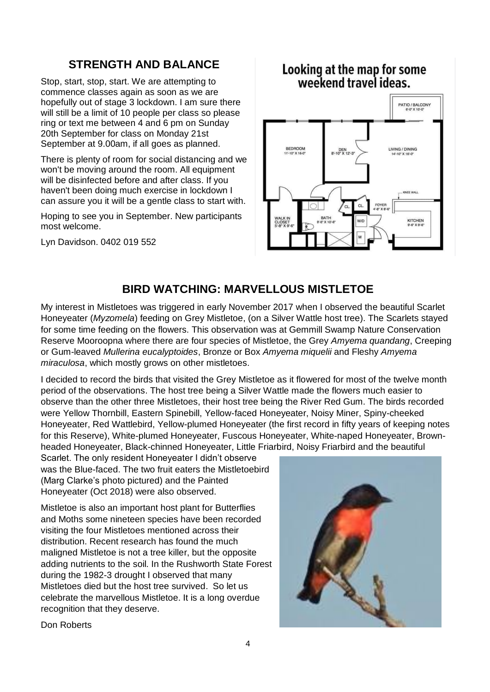## **STRENGTH AND BALANCE**

Stop, start, stop, start. We are attempting to commence classes again as soon as we are hopefully out of stage 3 lockdown. I am sure there will still be a limit of 10 people per class so please ring or text me between 4 and 6 pm on Sunday 20th September for class on Monday 21st September at 9.00am, if all goes as planned.

There is plenty of room for social distancing and we won't be moving around the room. All equipment will be disinfected before and after class. If you haven't been doing much exercise in lockdown I can assure you it will be a gentle class to start with.

Hoping to see you in September. New participants most welcome.

Lyn Davidson. 0402 019 552

## Looking at the map for some<br>weekend travel ideas.



### **BIRD WATCHING: MARVELLOUS MISTLETOE**

My interest in Mistletoes was triggered in early November 2017 when I observed the beautiful Scarlet Honeyeater (*Myzomela*) feeding on Grey Mistletoe, (on a Silver Wattle host tree). The Scarlets stayed for some time feeding on the flowers. This observation was at Gemmill Swamp Nature Conservation Reserve Mooroopna where there are four species of Mistletoe, the Grey *Amyema quandang*, Creeping or Gum-leaved *Mullerina eucalyptoides*, Bronze or Box *Amyema miquelii* and Fleshy *Amyema miraculosa*, which mostly grows on other mistletoes.

I decided to record the birds that visited the Grey Mistletoe as it flowered for most of the twelve month period of the observations. The host tree being a Silver Wattle made the flowers much easier to observe than the other three Mistletoes, their host tree being the River Red Gum. The birds recorded were Yellow Thornbill, Eastern Spinebill, Yellow-faced Honeyeater, Noisy Miner, Spiny-cheeked Honeyeater, Red Wattlebird, Yellow-plumed Honeyeater (the first record in fifty years of keeping notes for this Reserve), White-plumed Honeyeater, Fuscous Honeyeater, White-naped Honeyeater, Brownheaded Honeyeater, Black-chinned Honeyeater, Little Friarbird, Noisy Friarbird and the beautiful

Scarlet. The only resident Honeyeater I didn't observe was the Blue-faced. The two fruit eaters the Mistletoebird (Marg Clarke's photo pictured) and the Painted Honeyeater (Oct 2018) were also observed.

Mistletoe is also an important host plant for Butterflies and Moths some nineteen species have been recorded visiting the four Mistletoes mentioned across their distribution. Recent research has found the much maligned Mistletoe is not a tree killer, but the opposite adding nutrients to the soil. In the Rushworth State Forest during the 1982-3 drought I observed that many Mistletoes died but the host tree survived. So let us celebrate the marvellous Mistletoe. It is a long overdue recognition that they deserve.



Don Roberts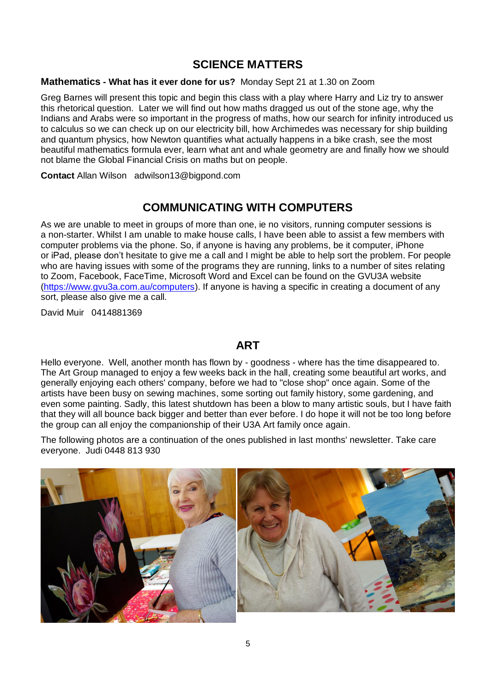#### **SCIENCE MATTERS**

#### **Mathematics - What has it ever done for us?** Monday Sept 21 at 1.30 on Zoom

Greg Barnes will present this topic and begin this class with a play where Harry and Liz try to answer this rhetorical question. Later we will find out how maths dragged us out of the stone age, why the Indians and Arabs were so important in the progress of maths, how our search for infinity introduced us to calculus so we can check up on our electricity bill, how Archimedes was necessary for ship building and quantum physics, how Newton quantifies what actually happens in a bike crash, see the most beautiful mathematics formula ever, learn what ant and whale geometry are and finally how we should not blame the Global Financial Crisis on maths but on people.

**Contact** Allan Wilson adwilson13@bigpond.com

### **COMMUNICATING WITH COMPUTERS**

As we are unable to meet in groups of more than one, ie no visitors, running computer sessions is a non-starter. Whilst I am unable to make house calls, I have been able to assist a few members with computer problems via the phone. So, if anyone is having any problems, be it computer, iPhone or iPad, please don't hesitate to give me a call and I might be able to help sort the problem. For people who are having issues with some of the programs they are running, links to a number of sites relating to Zoom, Facebook, FaceTime, Microsoft Word and Excel can be found on the GVU3A website [\(https://www.gvu3a.com.au/computers\)](https://www.gvu3a.com.au/computers). If anyone is having a specific in creating a document of any sort, please also give me a call.

David Muir 0414881369

#### **ART**

Hello everyone. Well, another month has flown by - goodness - where has the time disappeared to. The Art Group managed to enjoy a few weeks back in the hall, creating some beautiful art works, and generally enjoying each others' company, before we had to "close shop" once again. Some of the artists have been busy on sewing machines, some sorting out family history, some gardening, and even some painting. Sadly, this latest shutdown has been a blow to many artistic souls, but I have faith that they will all bounce back bigger and better than ever before. I do hope it will not be too long before the group can all enjoy the companionship of their U3A Art family once again.

The following photos are a continuation of the ones published in last months' newsletter. Take care everyone. Judi 0448 813 930

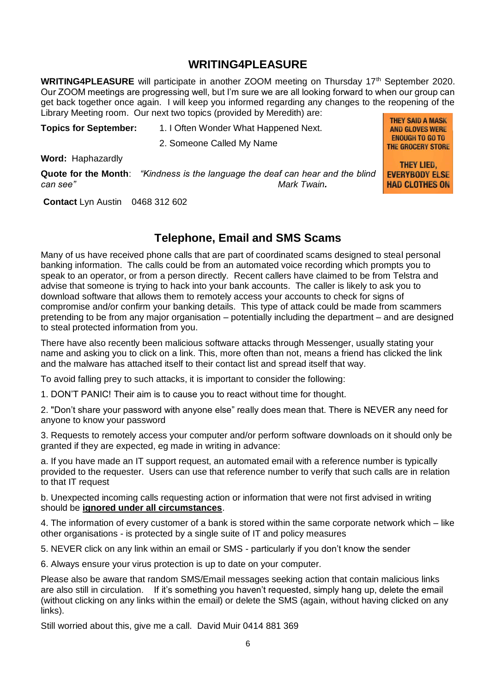#### **WRITING4PLEASURE**

WRITING4PLEASURE will participate in another ZOOM meeting on Thursday 17<sup>th</sup> September 2020. Our ZOOM meetings are progressing well, but I'm sure we are all looking forward to when our group can get back together once again. I will keep you informed regarding any changes to the reopening of the Library Meeting room. Our next two topics (provided by Meredith) are: **THEY SAID A MASK** 

> **AND GLOVES WERE ENOUGH TO GO TO** THE GROCERY STORE

> THEY LIED. **EVERYBODY ELSE HAD CLOTHES ON**

**Topics for September:** 1. I Often Wonder What Happened Next.

2. Someone Called My Name

**Word:** Haphazardly

**Quote for the Month**: *"Kindness is the language the deaf can hear and the blind can see" Mark Twain.*

**Contact** Lyn Austin 0468 312 602

### **Telephone, Email and SMS Scams**

Many of us have received phone calls that are part of coordinated scams designed to steal personal banking information. The calls could be from an automated voice recording which prompts you to speak to an operator, or from a person directly. Recent callers have claimed to be from Telstra and advise that someone is trying to hack into your bank accounts. The caller is likely to ask you to download software that allows them to remotely access your accounts to check for signs of compromise and/or confirm your banking details. This type of attack could be made from scammers pretending to be from any major organisation – potentially including the department – and are designed to steal protected information from you.

There have also recently been malicious software attacks through Messenger, usually stating your name and asking you to click on a link. This, more often than not, means a friend has clicked the link and the malware has attached itself to their contact list and spread itself that way.

To avoid falling prey to such attacks, it is important to consider the following:

1. DON'T PANIC! Their aim is to cause you to react without time for thought.

2. "Don't share your password with anyone else" really does mean that. There is NEVER any need for anyone to know your password

3. Requests to remotely access your computer and/or perform software downloads on it should only be granted if they are expected, eg made in writing in advance:

a. If you have made an IT support request, an automated email with a reference number is typically provided to the requester. Users can use that reference number to verify that such calls are in relation to that IT request

b. Unexpected incoming calls requesting action or information that were not first advised in writing should be **ignored under all circumstances**.

4. The information of every customer of a bank is stored within the same corporate network which – like other organisations - is protected by a single suite of IT and policy measures

5. NEVER click on any link within an email or SMS - particularly if you don't know the sender

6. Always ensure your virus protection is up to date on your computer.

Please also be aware that random SMS/Email messages seeking action that contain malicious links are also still in circulation. If it's something you haven't requested, simply hang up, delete the email (without clicking on any links within the email) or delete the SMS (again, without having clicked on any links).

Still worried about this, give me a call. David Muir 0414 881 369